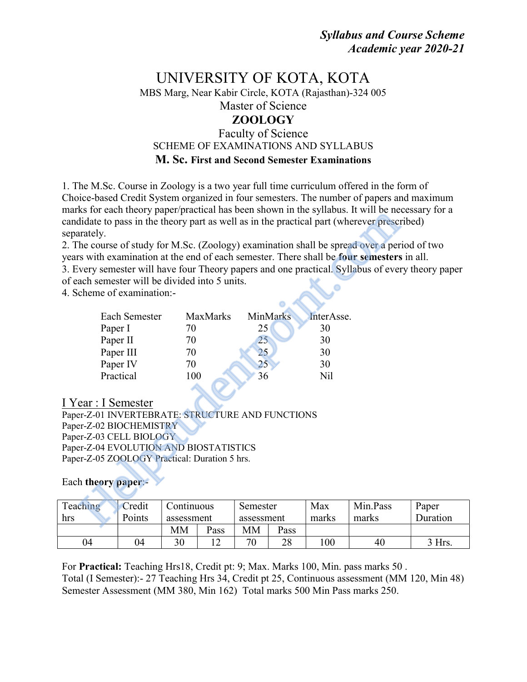# UNIVERSITY OF KOTA, KOTA MBS Marg, Near Kabir Circle, KOTA (Rajasthan)-324 005 Master of Science ZOOLOGY Faculty of Science SCHEME OF EXAMINATIONS AND SYLLABUS

M. Sc. First and Second Semester Examinations

1. The M.Sc. Course in Zoology is a two year full time curriculum offered in the form of Choice-based Credit System organized in four semesters. The number of papers and maximum marks for each theory paper/practical has been shown in the syllabus. It will be necessary for a candidate to pass in the theory part as well as in the practical part (wherever prescribed) separately.

2. The course of study for M.Sc. (Zoology) examination shall be spread over a period of two years with examination at the end of each semester. There shall be four semesters in all. 3. Every semester will have four Theory papers and one practical. Syllabus of every theory paper of each semester will be divided into 5 units.

4. Scheme of examination:-

|                                                                                                                                                                |                        | KS TOT CACH THCOTY PAPCI/PHACHCAI HAS OCCH SHOWH III THC SYHAOUS. IT WILL OC HC<br>didate to pass in the theory part as well as in the practical part (wherever prescr |            |            |          |  |  |  |  |
|----------------------------------------------------------------------------------------------------------------------------------------------------------------|------------------------|------------------------------------------------------------------------------------------------------------------------------------------------------------------------|------------|------------|----------|--|--|--|--|
| arately.                                                                                                                                                       |                        |                                                                                                                                                                        |            |            |          |  |  |  |  |
| he course of study for M.Sc. (Zoology) examination shall be spread over a per<br>s with examination at the end of each semester. There shall be four semesters |                        |                                                                                                                                                                        |            |            |          |  |  |  |  |
| very semester will have four Theory papers and one practical. Syllabus of ever                                                                                 |                        |                                                                                                                                                                        |            |            |          |  |  |  |  |
|                                                                                                                                                                |                        | ach semester will be divided into 5 units.                                                                                                                             |            |            |          |  |  |  |  |
|                                                                                                                                                                | cheme of examination:- |                                                                                                                                                                        |            |            |          |  |  |  |  |
|                                                                                                                                                                |                        |                                                                                                                                                                        |            |            |          |  |  |  |  |
|                                                                                                                                                                | Each Semester          | MaxMarks                                                                                                                                                               | MinMarks   | InterAsse. |          |  |  |  |  |
| Paper I                                                                                                                                                        |                        | 70                                                                                                                                                                     | 25         | 30         |          |  |  |  |  |
| Paper II                                                                                                                                                       |                        | 70                                                                                                                                                                     | 25         | 30         |          |  |  |  |  |
|                                                                                                                                                                | Paper III              | 70                                                                                                                                                                     | 25         | 30         |          |  |  |  |  |
|                                                                                                                                                                | Paper IV               | 70                                                                                                                                                                     | 25         | 30         |          |  |  |  |  |
|                                                                                                                                                                | Practical              | 100                                                                                                                                                                    | 36         | Nil        |          |  |  |  |  |
|                                                                                                                                                                |                        |                                                                                                                                                                        |            |            |          |  |  |  |  |
| ear : I Semester                                                                                                                                               |                        |                                                                                                                                                                        |            |            |          |  |  |  |  |
|                                                                                                                                                                |                        | er-Z-01 INVERTEBRATE: STRUCTURE AND FUNCTIONS                                                                                                                          |            |            |          |  |  |  |  |
|                                                                                                                                                                | er-Z-02 BIOCHEMISTRY   |                                                                                                                                                                        |            |            |          |  |  |  |  |
| er-Z-03 CELL BIOLOGY                                                                                                                                           |                        |                                                                                                                                                                        |            |            |          |  |  |  |  |
| er-Z-04 EVOLUTION AND BIOSTATISTICS                                                                                                                            |                        |                                                                                                                                                                        |            |            |          |  |  |  |  |
| er-Z-05 ZOOLOGY Practical: Duration 5 hrs.                                                                                                                     |                        |                                                                                                                                                                        |            |            |          |  |  |  |  |
| h theory paper:-                                                                                                                                               |                        |                                                                                                                                                                        |            |            |          |  |  |  |  |
|                                                                                                                                                                |                        |                                                                                                                                                                        |            |            |          |  |  |  |  |
| ching                                                                                                                                                          | Credit                 | Continuous                                                                                                                                                             | Semester   | Max        | Min.Pass |  |  |  |  |
|                                                                                                                                                                | Points                 | assessment                                                                                                                                                             | assessment | marks      | marks    |  |  |  |  |
|                                                                                                                                                                |                        |                                                                                                                                                                        |            |            |          |  |  |  |  |

## I Year : I Semester

Paper-Z-01 INVERTEBRATE: STRUCTURE AND FUNCTIONS Paper-Z-02 BIOCHEMISTRY Paper-Z-03 CELL BIOLOGY Paper-Z-04 EVOLUTION AND BIOSTATISTICS Paper-Z-05 ZOOLOGY Practical: Duration 5 hrs.

#### Each theory paper:-

| Teaching | Credit | .`ontīnuous |      | Semester   |      | Max   | Min.Pass | Paper    |
|----------|--------|-------------|------|------------|------|-------|----------|----------|
| hrs      | Points | assessment  |      | assessment |      | marks | marks    | Duration |
|          |        | MМ          | Pass | MМ         | Pass |       |          |          |
| 04       | 04     | 30          |      | 70         | 28   | 100   | 40       | $3$ Hrs. |

For Practical: Teaching Hrs18, Credit pt: 9; Max. Marks 100, Min. pass marks 50 . Total (I Semester):- 27 Teaching Hrs 34, Credit pt 25, Continuous assessment (MM 120, Min 48) Semester Assessment (MM 380, Min 162) Total marks 500 Min Pass marks 250.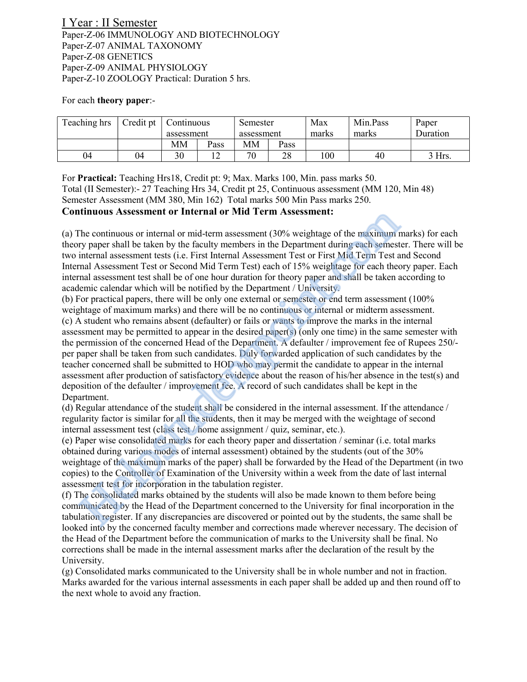I Year : II Semester Paper-Z-06 IMMUNOLOGY AND BIOTECHNOLOGY Paper-Z-07 ANIMAL TAXONOMY Paper-Z-08 GENETICS Paper-Z-09 ANIMAL PHYSIOLOGY Paper-Z-10 ZOOLOGY Practical: Duration 5 hrs.

#### For each theory paper:-

| Teaching hrs | Credit pt | Continuous | Semester |            | Max  | Min.Pass | Paper |          |
|--------------|-----------|------------|----------|------------|------|----------|-------|----------|
|              |           | assessment |          | assessment |      | marks    | marks | Duration |
|              |           | MМ         | Pass     | MМ         | Pass |          |       |          |
| 04           | 04        | 30         | ∸        | 70         | 28   | 00       | 40    | $3$ Hrs. |

For Practical: Teaching Hrs18, Credit pt: 9; Max. Marks 100, Min. pass marks 50. Total (II Semester):- 27 Teaching Hrs 34, Credit pt 25, Continuous assessment (MM 120, Min 48) Semester Assessment (MM 380, Min 162) Total marks 500 Min Pass marks 250.

#### Continuous Assessment or Internal or Mid Term Assessment:

(a) The continuous or internal or mid-term assessment (30% weightage of the maximum marks) for each theory paper shall be taken by the faculty members in the Department during each semester. There will be two internal assessment tests (i.e. First Internal Assessment Test or First Mid Term Test and Second Internal Assessment Test or Second Mid Term Test) each of 15% weightage for each theory paper. Each internal assessment test shall be of one hour duration for theory paper and shall be taken according to academic calendar which will be notified by the Department / University.

(b) For practical papers, there will be only one external or semester or end term assessment (100% weightage of maximum marks) and there will be no continuous or internal or midterm assessment. (c) A student who remains absent (defaulter) or fails or wants to improve the marks in the internal assessment may be permitted to appear in the desired paper(s) (only one time) in the same semester with the permission of the concerned Head of the Department. A defaulter / improvement fee of Rupees 250/ per paper shall be taken from such candidates. Duly forwarded application of such candidates by the teacher concerned shall be submitted to HOD who may permit the candidate to appear in the internal assessment after production of satisfactory evidence about the reason of his/her absence in the test(s) and deposition of the defaulter / improvement fee. A record of such candidates shall be kept in the Department. **Ethiopia and Source** in the fracture of Mid 1erm Assessment (30% weightage of the maximum frequency paper shall be taken by the fealuly members in the Department during each semesting increasing internal assessment tests

(d) Regular attendance of the student shall be considered in the internal assessment. If the attendance / regularity factor is similar for all the students, then it may be merged with the weightage of second internal assessment test (class test / home assignment / quiz, seminar, etc.).

(e) Paper wise consolidated marks for each theory paper and dissertation / seminar (i.e. total marks obtained during various modes of internal assessment) obtained by the students (out of the 30% weightage of the maximum marks of the paper) shall be forwarded by the Head of the Department (in two copies) to the Controller of Examination of the University within a week from the date of last internal assessment test for incorporation in the tabulation register.

(f) The consolidated marks obtained by the students will also be made known to them before being communicated by the Head of the Department concerned to the University for final incorporation in the tabulation register. If any discrepancies are discovered or pointed out by the students, the same shall be looked into by the concerned faculty member and corrections made wherever necessary. The decision of the Head of the Department before the communication of marks to the University shall be final. No corrections shall be made in the internal assessment marks after the declaration of the result by the University.

(g) Consolidated marks communicated to the University shall be in whole number and not in fraction. Marks awarded for the various internal assessments in each paper shall be added up and then round off to the next whole to avoid any fraction.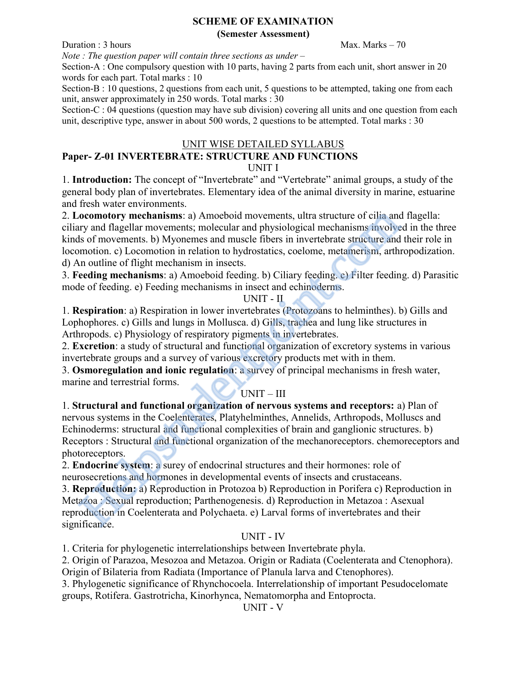#### SCHEME OF EXAMINATION (Semester Assessment)

 $\Delta$ Duration : 3 hours Max. Marks – 70

Note : The question paper will contain three sections as under  $-$ 

Section-A : One compulsory question with 10 parts, having 2 parts from each unit, short answer in 20 words for each part. Total marks : 10

Section-B : 10 questions, 2 questions from each unit, 5 questions to be attempted, taking one from each unit, answer approximately in 250 words. Total marks : 30

Section-C : 04 questions (question may have sub division) covering all units and one question from each unit, descriptive type, answer in about 500 words, 2 questions to be attempted. Total marks : 30

#### UNIT WISE DETAILED SYLLABUS Paper- Z-01 INVERTEBRATE: STRUCTURE AND FUNCTIONS UNIT I

1. Introduction: The concept of "Invertebrate" and "Vertebrate" animal groups, a study of the general body plan of invertebrates. Elementary idea of the animal diversity in marine, estuarine and fresh water environments.

2. Locomotory mechanisms: a) Amoeboid movements, ultra structure of cilia and flagella: ciliary and flagellar movements; molecular and physiological mechanisms involved in the three kinds of movements. b) Myonemes and muscle fibers in invertebrate structure and their role in locomotion. c) Locomotion in relation to hydrostatics, coelome, metamerism, arthropodization. d) An outline of flight mechanism in insects.

3. Feeding mechanisms: a) Amoeboid feeding. b) Ciliary feeding. c) Filter feeding. d) Parasitic mode of feeding. e) Feeding mechanisms in insect and echinoderms.

## UNIT - II

1. Respiration: a) Respiration in lower invertebrates (Protozoans to helminthes). b) Gills and Lophophores. c) Gills and lungs in Mollusca. d) Gills, trachea and lung like structures in Arthropods. c) Physiology of respiratory pigments in invertebrates.

2. Excretion: a study of structural and functional organization of excretory systems in various invertebrate groups and a survey of various excretory products met with in them.

3. Osmoregulation and ionic regulation: a survey of principal mechanisms in fresh water, marine and terrestrial forms.

## UNIT – III

1. Structural and functional organization of nervous systems and receptors: a) Plan of nervous systems in the Coelenterates, Platyhelminthes, Annelids, Arthropods, Molluscs and Echinoderms: structural and functional complexities of brain and ganglionic structures. b) Receptors : Structural and functional organization of the mechanoreceptors. chemoreceptors and photoreceptors. ocomotory mechanisms: a) Amoeboid movements, ultra structure of cilia and<br>ny shi diagellar movements; molecular and physiological mechanisms involvements<br>is of movements. b) Myonemes and musele fibers in invertebrate struc

2. Endocrine system: a surey of endocrinal structures and their hormones: role of neurosecretions and hormones in developmental events of insects and crustaceans.

3. Reproduction: a) Reproduction in Protozoa b) Reproduction in Porifera c) Reproduction in Metazoa : Sexual reproduction; Parthenogenesis. d) Reproduction in Metazoa : Asexual reproduction in Coelenterata and Polychaeta. e) Larval forms of invertebrates and their significance.

## UNIT - IV

1. Criteria for phylogenetic interrelationships between Invertebrate phyla.

2. Origin of Parazoa, Mesozoa and Metazoa. Origin or Radiata (Coelenterata and Ctenophora). Origin of Bilateria from Radiata (Importance of Planula larva and Ctenophores).

3. Phylogenetic significance of Rhynchocoela. Interrelationship of important Pesudocelomate groups, Rotifera. Gastrotricha, Kinorhynca, Nematomorpha and Entoprocta.

UNIT - V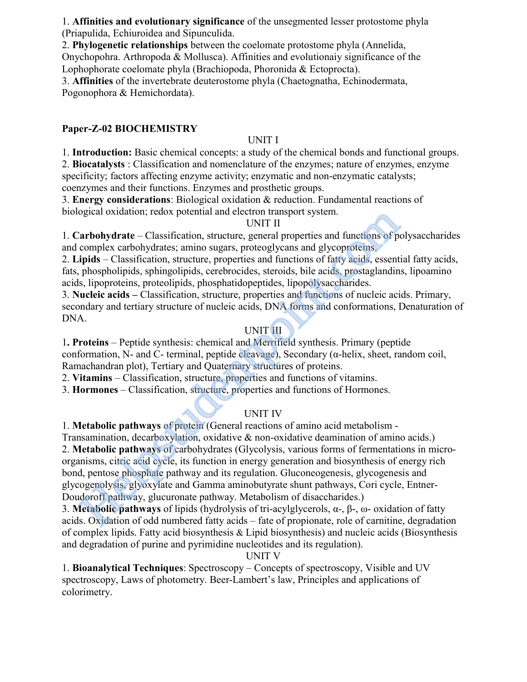1. Affinities and evolutionary significance of the unsegmented lesser protostome phyla (Priapulida, Echiuroidea and Sipunculida.

2. Phylogenetic relationships between the coelomate protostome phyla (Annelida,

Onychopohra. Arthropoda & Mollusca). Affinities and evolutionaiy significance of the Lophophorate coelomate phyla (Brachiopoda, Phoronida & Ectoprocta).

3. Affinities of the invertebrate deuterostome phyla (Chaetognatha, Echinodermata, Pogonophora & Hemichordata).

## Paper-Z-02 BIOCHEMISTRY

## UNIT I

1. Introduction: Basic chemical concepts: a study of the chemical bonds and functional groups.

2. Biocatalysts : Classification and nomenclature of the enzymes; nature of enzymes, enzyme specificity; factors affecting enzyme activity; enzymatic and non-enzymatic catalysts; coenzymes and their functions. Enzymes and prosthetic groups.

3. Energy considerations: Biological oxidation & reduction. Fundamental reactions of biological oxidation; redox potential and electron transport system.

## UNIT II

1. Carbohydrate – Classification, structure, general properties and functions of polysaccharides and complex carbohydrates; amino sugars, proteoglycans and glycoproteins.

2. Lipids – Classification, structure, properties and functions of fatty acids, essential fatty acids, fats, phospholipids, sphingolipids, cerebrocides, steroids, bile acids, prostaglandins, lipoamino acids, lipoproteins, proteolipids, phosphatidopeptides, lipopolysaccharides.

3. Nucleic acids – Classification, structure, properties and functions of nucleic acids. Primary, secondary and tertiary structure of nucleic acids, DNA forms and conformations, Denaturation of DNA.

## UNIT III

1. Proteins – Peptide synthesis: chemical and Merrifield synthesis. Primary (peptide conformation, N- and C- terminal, peptide cleavage), Secondary (α-helix, sheet, random coil, Ramachandran plot), Tertiary and Quaternary structures of proteins.

2. Vitamins – Classification, structure, properties and functions of vitamins.

3. Hormones – Classification, structure, properties and functions of Hormones.

## UNIT IV

1. Metabolic pathways of protein (General reactions of amino acid metabolism -

Transamination, decarboxylation, oxidative & non-oxidative deamination of amino acids.) 2. Metabolic pathways of carbohydrates (Glycolysis, various forms of fermentations in microorganisms, citric acid cycle, its function in energy generation and biosynthesis of energy rich bond, pentose phosphate pathway and its regulation. Gluconeogenesis, glycogenesis and glycogenolysis, glyoxylate and Gamma aminobutyrate shunt pathways, Cori cycle, Entner-Doudoroff pathway, glucuronate pathway. Metabolism of disaccharides.) ogical oxidation; redox potential and electron transport system.<br>
Carbohydrate – Classification, structure, general properties and functions of p<br>
complex carbohydrates; amino sugars, proteoglycans and glycoproteins.<br>
DMIT

3. Metabolic pathways of lipids (hydrolysis of tri-acylglycerols,  $\alpha$ -,  $\beta$ -,  $\omega$ - oxidation of fatty acids. Oxidation of odd numbered fatty acids – fate of propionate, role of carnitine, degradation of complex lipids. Fatty acid biosynthesis & Lipid biosynthesis) and nucleic acids (Biosynthesis and degradation of purine and pyrimidine nucleotides and its regulation).

UNIT V

1. Bioanalytical Techniques: Spectroscopy – Concepts of spectroscopy, Visible and UV spectroscopy, Laws of photometry. Beer-Lambert's law, Principles and applications of colorimetry.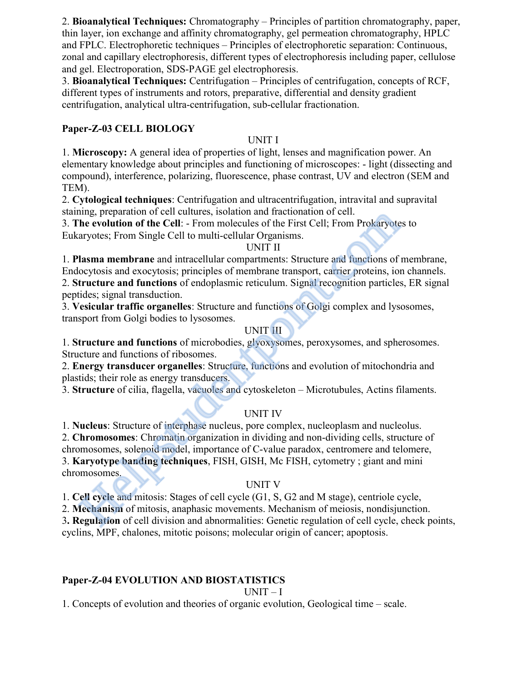2. Bioanalytical Techniques: Chromatography – Principles of partition chromatography, paper, thin layer, ion exchange and affinity chromatography, gel permeation chromatography, HPLC and FPLC. Electrophoretic techniques – Principles of electrophoretic separation: Continuous, zonal and capillary electrophoresis, different types of electrophoresis including paper, cellulose and gel. Electroporation, SDS-PAGE gel electrophoresis.

3. Bioanalytical Techniques: Centrifugation – Principles of centrifugation, concepts of RCF, different types of instruments and rotors, preparative, differential and density gradient centrifugation, analytical ultra-centrifugation, sub-cellular fractionation.

## Paper-Z-03 CELL BIOLOGY

## UNIT I

1. Microscopy: A general idea of properties of light, lenses and magnification power. An elementary knowledge about principles and functioning of microscopes: - light (dissecting and compound), interference, polarizing, fluorescence, phase contrast, UV and electron (SEM and TEM).

2. Cytological techniques: Centrifugation and ultracentrifugation, intravital and supravital staining, preparation of cell cultures, isolation and fractionation of cell.

3. The evolution of the Cell: - From molecules of the First Cell; From Prokaryotes to

Eukaryotes; From Single Cell to multi-cellular Organisms.

## UNIT II

1. Plasma membrane and intracellular compartments: Structure and functions of membrane, Endocytosis and exocytosis; principles of membrane transport, carrier proteins, ion channels. 2. Structure and functions of endoplasmic reticulum. Signal recognition particles, ER signal peptides; signal transduction. mp, preparation or ear cuttures, isotation and ractionatom or en.<br>The evolution of the Cell: - From molecules of the First Cell; From Prokaryote<br>aryotes; From Single Cell to multi-cellular Organisms.<br>
UNIT II<br>
UNIT II<br>
UNI

3. Vesicular traffic organelles: Structure and functions of Golgi complex and lysosomes, transport from Golgi bodies to lysosomes.

## UNIT III

1. Structure and functions of microbodies, glyoxysomes, peroxysomes, and spherosomes. Structure and functions of ribosomes.

2. Energy transducer organelles: Structure, functions and evolution of mitochondria and plastids; their role as energy transducers.

3. Structure of cilia, flagella, vacuoles and cytoskeleton – Microtubules, Actins filaments.

## UNIT IV

1. Nucleus: Structure of interphase nucleus, pore complex, nucleoplasm and nucleolus.

2. Chromosomes: Chromatin organization in dividing and non-dividing cells, structure of chromosomes, solenoid model, importance of C-value paradox, centromere and telomere,

3. Karyotype banding techniques, FISH, GISH, Mc FISH, cytometry ; giant and mini chromosomes.

## UNIT V

1. Cell cycle and mitosis: Stages of cell cycle (G1, S, G2 and M stage), centriole cycle,

2. Mechanism of mitosis, anaphasic movements. Mechanism of meiosis, nondisjunction.

3. Regulation of cell division and abnormalities: Genetic regulation of cell cycle, check points,

cyclins, MPF, chalones, mitotic poisons; molecular origin of cancer; apoptosis.

## Paper-Z-04 EVOLUTION AND BIOSTATISTICS

UNIT – I

1. Concepts of evolution and theories of organic evolution, Geological time – scale.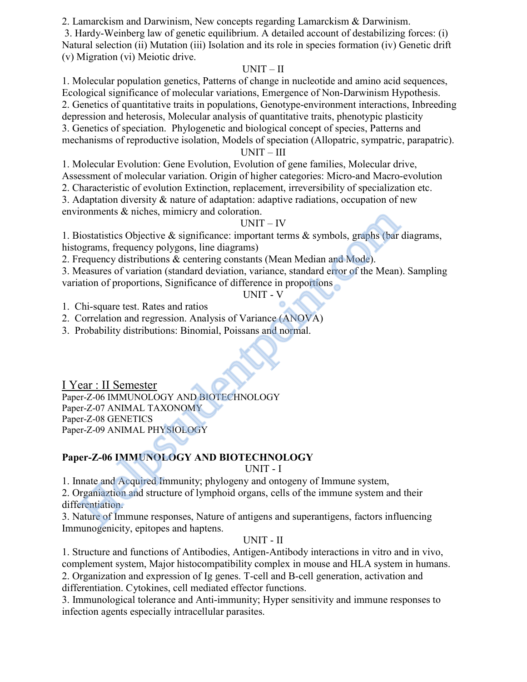2. Lamarckism and Darwinism, New concepts regarding Lamarckism & Darwinism.

 3. Hardy-Weinberg law of genetic equilibrium. A detailed account of destabilizing forces: (i) Natural selection (ii) Mutation (iii) Isolation and its role in species formation (iv) Genetic drift (v) Migration (vi) Meiotic drive.

## $UNIT - II$

1. Molecular population genetics, Patterns of change in nucleotide and amino acid sequences, Ecological significance of molecular variations, Emergence of Non-Darwinism Hypothesis. 2. Genetics of quantitative traits in populations, Genotype-environment interactions, Inbreeding depression and heterosis, Molecular analysis of quantitative traits, phenotypic plasticity 3. Genetics of speciation. Phylogenetic and biological concept of species, Patterns and mechanisms of reproductive isolation, Models of speciation (Allopatric, sympatric, parapatric).

### $UNIT - III$

1. Molecular Evolution: Gene Evolution, Evolution of gene families, Molecular drive, Assessment of molecular variation. Origin of higher categories: Micro-and Macro-evolution

2. Characteristic of evolution Extinction, replacement, irreversibility of specialization etc.

3. Adaptation diversity & nature of adaptation: adaptive radiations, occupation of new environments & niches, mimicry and coloration.

## UNIT – IV

1. Biostatistics Objective & significance: important terms & symbols, graphs (bar diagrams, histograms, frequency polygons, line diagrams)

2. Frequency distributions & centering constants (Mean Median and Mode).

3. Measures of variation (standard deviation, variance, standard error of the Mean). Sampling variation of proportions, Significance of difference in proportions

## UNIT - V

1. Chi-square test. Rates and ratios

2. Correlation and regression. Analysis of Variance (ANOVA)

3. Probability distributions: Binomial, Poissans and normal.

I Year : II Semester Paper-Z-06 IMMUNOLOGY AND BIOTECHNOLOGY Paper-Z-07 ANIMAL TAXONOMY Paper-Z-08 GENETICS Paper-Z-09 ANIMAL PHYSIOLOGY ronments & niches, mimicry and coloration.<br>
UNIT – IV<br>
iostatistics Objective & significance: important terms & symbols, graphs (bar<br>
requency polygons, line diagrams)<br>
requency of stration (standard deviation, variance, s

## Paper-Z-06 IMMUNOLOGY AND BIOTECHNOLOGY

UNIT - I

1. Innate and Acquired Immunity; phylogeny and ontogeny of Immune system,

2. Organiaztion and structure of lymphoid organs, cells of the immune system and their differentiation.

3. Nature of Immune responses, Nature of antigens and superantigens, factors influencing Immunogenicity, epitopes and haptens.

## UNIT - II

1. Structure and functions of Antibodies, Antigen-Antibody interactions in vitro and in vivo, complement system, Major histocompatibility complex in mouse and HLA system in humans.

2. Organization and expression of Ig genes. T-cell and B-cell generation, activation and differentiation. Cytokines, cell mediated effector functions.

3. Immunological tolerance and Anti-immunity; Hyper sensitivity and immune responses to infection agents especially intracellular parasites.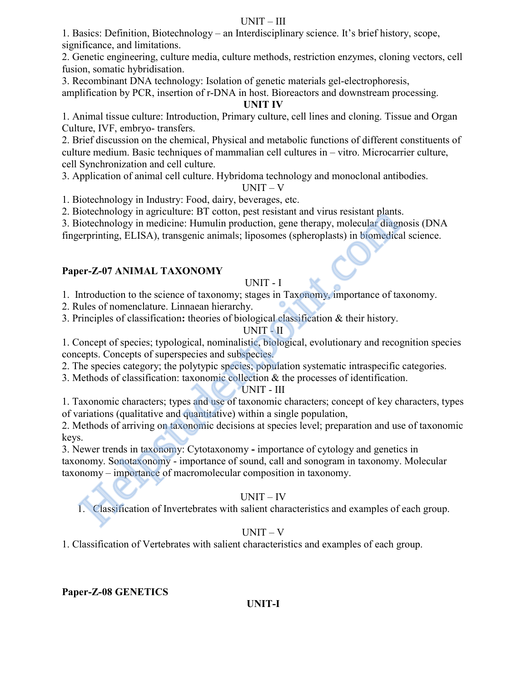#### UNIT – III

1. Basics: Definition, Biotechnology – an Interdisciplinary science. It's brief history, scope, significance, and limitations.

2. Genetic engineering, culture media, culture methods, restriction enzymes, cloning vectors, cell fusion, somatic hybridisation.

3. Recombinant DNA technology: Isolation of genetic materials gel-electrophoresis,

amplification by PCR, insertion of r-DNA in host. Bioreactors and downstream processing.

#### UNIT IV

1. Animal tissue culture: Introduction, Primary culture, cell lines and cloning. Tissue and Organ Culture, IVF, embryo- transfers.

2. Brief discussion on the chemical, Physical and metabolic functions of different constituents of culture medium. Basic techniques of mammalian cell cultures in – vitro. Microcarrier culture, cell Synchronization and cell culture.

3. Application of animal cell culture. Hybridoma technology and monoclonal antibodies.

 $UNIT - V$ 

1. Biotechnology in Industry: Food, dairy, beverages, etc.

2. Biotechnology in agriculture: BT cotton, pest resistant and virus resistant plants.

3. Biotechnology in medicine: Humulin production, gene therapy, molecular diagnosis (DNA

fingerprinting, ELISA), transgenic animals; liposomes (spheroplasts) in biomedical science.

## Paper-Z-07 ANIMAL TAXONOMY

### UNIT - I

1. Introduction to the science of taxonomy; stages in Taxonomy, importance of taxonomy.

2. Rules of nomenclature. Linnaean hierarchy.

3. Principles of classification: theories of biological classification & their history.

#### UNIT - II

1. Concept of species; typological, nominalistic, biological, evolutionary and recognition species concepts. Concepts of superspecies and subspecies.

2. The species category; the polytypic species; population systematic intraspecific categories.

3. Methods of classification: taxonomic collection & the processes of identification.

#### UNIT - III

1. Taxonomic characters; types and use of taxonomic characters; concept of key characters, types of variations (qualitative and quantitative) within a single population,

2. Methods of arriving on taxonomic decisions at species level; preparation and use of taxonomic keys.

3. Newer trends in taxonomy: Cytotaxonomy - importance of cytology and genetics in taxonomy. Sonotaxonomy - importance of sound, call and sonogram in taxonomy. Molecular taxonomy – importance of macromolecular composition in taxonomy. iotechnology in agreduture: B tottom, pear resistant and virus resistant panars<br>iotechnology in medicine: Humulin production, gene therapy, molecular diagrementing, ELISA), transgenic animals; liposomes (spheroplasts) in b

## UNIT – IV

1. Classification of Invertebrates with salient characteristics and examples of each group.

## UNIT – V

1. Classification of Vertebrates with salient characteristics and examples of each group.

## Paper-Z-08 GENETICS

## UNIT-I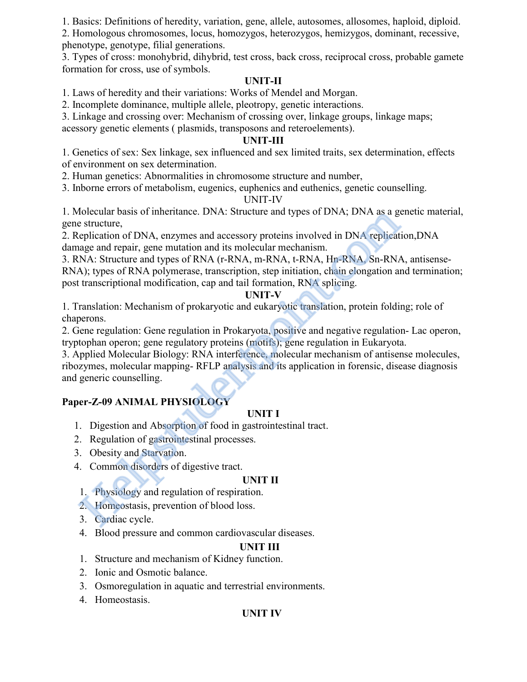1. Basics: Definitions of heredity, variation, gene, allele, autosomes, allosomes, haploid, diploid.

2. Homologous chromosomes, locus, homozygos, heterozygos, hemizygos, dominant, recessive, phenotype, genotype, filial generations.

3. Types of cross: monohybrid, dihybrid, test cross, back cross, reciprocal cross, probable gamete formation for cross, use of symbols.

## UNIT-II

1. Laws of heredity and their variations: Works of Mendel and Morgan.

2. Incomplete dominance, multiple allele, pleotropy, genetic interactions.

3. Linkage and crossing over: Mechanism of crossing over, linkage groups, linkage maps;

acessory genetic elements ( plasmids, transposons and reteroelements).

### UNIT-III

1. Genetics of sex: Sex linkage, sex influenced and sex limited traits, sex determination, effects of environment on sex determination.

2. Human genetics: Abnormalities in chromosome structure and number,

3. Inborne errors of metabolism, eugenics, euphenics and euthenics, genetic counselling.

## UNIT-IV

1. Molecular basis of inheritance. DNA: Structure and types of DNA; DNA as a genetic material, gene structure,

2. Replication of DNA, enzymes and accessory proteins involved in DNA replication,DNA damage and repair, gene mutation and its molecular mechanism.

3. RNA: Structure and types of RNA (r-RNA, m-RNA, t-RNA, Hn-RNA, Sn-RNA, antisense-RNA); types of RNA polymerase, transcription, step initiation, chain elongation and termination; post transcriptional modification, cap and tail formation, RNA splicing. Motecular basis of mineritance. DINA: Structure and types of DINA; DINA as a good exertainty experiment of DNA, enzymes and accessory proteins involved in DNA repliced<br>ange and repair, gene mutation and its molecular mecha

### UNIT-V

1. Translation: Mechanism of prokaryotic and eukaryotic translation, protein folding; role of chaperons.

2. Gene regulation: Gene regulation in Prokaryota, positive and negative regulation- Lac operon, tryptophan operon; gene regulatory proteins (motifs); gene regulation in Eukaryota.

3. Applied Molecular Biology: RNA interference, molecular mechanism of antisense molecules, ribozymes, molecular mapping- RFLP analysis and its application in forensic, disease diagnosis and generic counselling.

## Paper-Z-09 ANIMAL PHYSIOLOGY

## UNIT I

- 1. Digestion and Absorption of food in gastrointestinal tract.
- 2. Regulation of gastrointestinal processes.
- 3. Obesity and Starvation.
- 4. Common disorders of digestive tract.

#### UNIT II

- 1. Physiology and regulation of respiration.
- 2. Homeostasis, prevention of blood loss.
- 3. Cardiac cycle.
- 4. Blood pressure and common cardiovascular diseases.

## UNIT III

- 1. Structure and mechanism of Kidney function.
- 2. Ionic and Osmotic balance.
- 3. Osmoregulation in aquatic and terrestrial environments.
- 4. Homeostasis.

## UNIT IV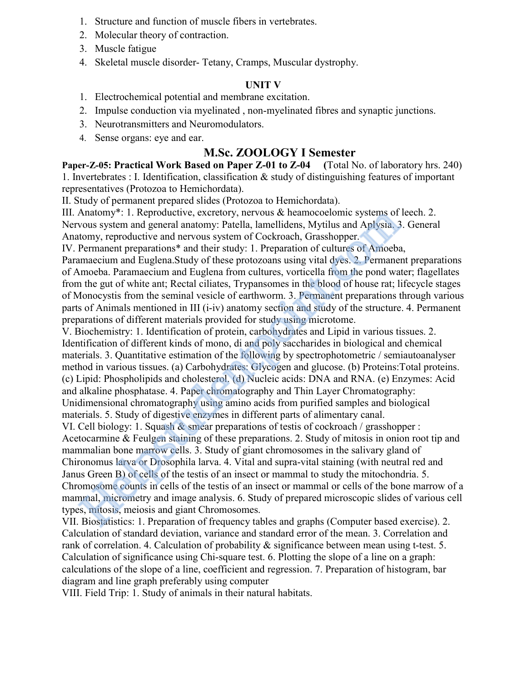- 1. Structure and function of muscle fibers in vertebrates.
- 2. Molecular theory of contraction.
- 3. Muscle fatigue
- 4. Skeletal muscle disorder- Tetany, Cramps, Muscular dystrophy.

#### UNIT V

- 1. Electrochemical potential and membrane excitation.
- 2. Impulse conduction via myelinated , non-myelinated fibres and synaptic junctions.
- 3. Neurotransmitters and Neuromodulators.
- 4. Sense organs: eye and ear.

## M.Sc. ZOOLOGY I Semester

Paper-Z-05: Practical Work Based on Paper Z-01 to Z-04 (Total No. of laboratory hrs. 240) 1. Invertebrates : I. Identification, classification & study of distinguishing features of important representatives (Protozoa to Hemichordata).

II. Study of permanent prepared slides (Protozoa to Hemichordata).

III. Anatomy\*: 1. Reproductive, excretory, nervous & heamocoelomic systems of leech. 2. Nervous system and general anatomy: Patella, lamellidens, Mytilus and Aplysia. 3. General Anatomy, reproductive and nervous system of Cockroach, Grasshopper.

IV. Permanent preparations\* and their study: 1. Preparation of cultures of Amoeba,

Paramaecium and Euglena.Study of these protozoans using vital dyes. 2. Permanent preparations of Amoeba. Paramaecium and Euglena from cultures, vorticella from the pond water; flagellates from the gut of white ant; Rectal ciliates, Trypansomes in the blood of house rat; lifecycle stages of Monocystis from the seminal vesicle of earthworm. 3. Permanent preparations through various parts of Animals mentioned in III (i-iv) anatomy section and study of the structure. 4. Permanent preparations of different materials provided for study using microtome.

V. Biochemistry: 1. Identification of protein, carbohydrates and Lipid in various tissues. 2. Identification of different kinds of mono, di and poly saccharides in biological and chemical materials. 3. Quantitative estimation of the following by spectrophotometric / semiautoanalyser method in various tissues. (a) Carbohydrates: Glycogen and glucose. (b) Proteins:Total proteins. (c) Lipid: Phospholipids and cholesterol. (d) Nucleic acids: DNA and RNA. (e) Enzymes: Acid and alkaline phosphatase. 4. Paper chromatography and Thin Layer Chromatography: Unidimensional chromatography using amino acids from purified samples and biological materials. 5. Study of digestive enzymes in different parts of alimentary canal.

VI. Cell biology: 1. Squash & smear preparations of testis of cockroach / grasshopper : Acetocarmine & Feulgen staining of these preparations. 2. Study of mitosis in onion root tip and mammalian bone marrow cells. 3. Study of giant chromosomes in the salivary gland of Chironomus larva or Drosophila larva. 4. Vital and supra-vital staining (with neutral red and Janus Green B) of cells of the testis of an insect or mammal to study the mitochondria. 5. Chromosome counts in cells of the testis of an insect or mammal or cells of the bone marrow of a mammal, micrometry and image analysis. 6. Study of prepared microscopic slides of various cell types, mitosis, meiosis and giant Chromosomes. Anatomy\*: 1. Reproductive, excretory, nervous & heamocoelomic systems of<br>vous system and general anatomy: Patella, lamellidens, Mytilus and Aplysia. 3<br>homy, reproductive and nervous system of Cockroach, Grasshopper.<br>Perman

VII. Biostatistics: 1. Preparation of frequency tables and graphs (Computer based exercise). 2. Calculation of standard deviation, variance and standard error of the mean. 3. Correlation and rank of correlation. 4. Calculation of probability & significance between mean using t-test. 5. Calculation of significance using Chi-square test. 6. Plotting the slope of a line on a graph: calculations of the slope of a line, coefficient and regression. 7. Preparation of histogram, bar diagram and line graph preferably using computer

VIII. Field Trip: 1. Study of animals in their natural habitats.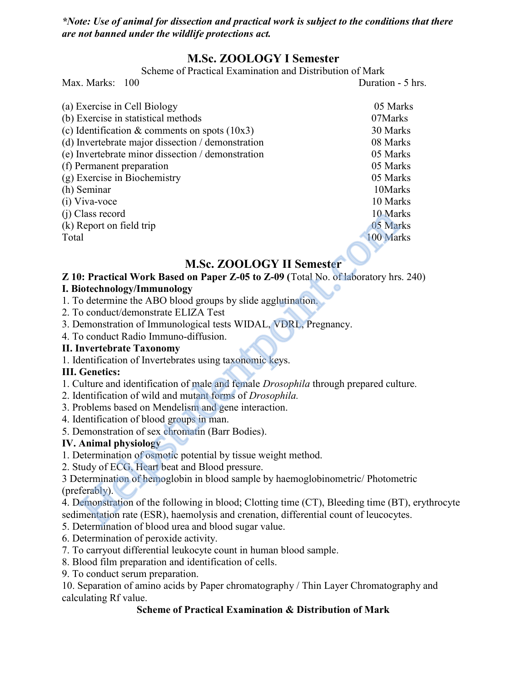\*Note: Use of animal for dissection and practical work is subject to the conditions that there are not banned under the wildlife protections act.

# M.Sc. ZOOLOGY I Semester

Scheme of Practical Examination and Distribution of Mark

Max. Marks: 100 Duration - 5 hrs.

| (a) Exercise in Cell Biology                                                                 | 05 Marks  |
|----------------------------------------------------------------------------------------------|-----------|
| (b) Exercise in statistical methods                                                          | 07Marks   |
| (c) Identification & comments on spots $(10x3)$                                              | 30 Marks  |
| (d) Invertebrate major dissection / demonstration                                            | 08 Marks  |
| (e) Invertebrate minor dissection / demonstration                                            | 05 Marks  |
| (f) Permanent preparation                                                                    | 05 Marks  |
| (g) Exercise in Biochemistry                                                                 | 05 Marks  |
| (h) Seminar                                                                                  | 10Marks   |
| (i) Viva-voce                                                                                | 10 Marks  |
| (j) Class record                                                                             | 10 Marks  |
| (k) Report on field trip                                                                     | 05 Marks  |
| Total                                                                                        | 100 Marks |
|                                                                                              |           |
| <b>M.Sc. ZOOLOGY II Semester</b>                                                             |           |
| Z 10: Practical Work Based on Paper Z-05 to Z-09 (Total No. of laboratory hrs. 24            |           |
| I. Biotechnology/Immunology                                                                  |           |
| 1. To determine the ABO blood groups by slide agglutination.                                 |           |
| 2. To conduct/demonstrate ELIZA Test                                                         |           |
| 3. Demonstration of Immunological tests WIDAL, VDRL, Pregnancy.                              |           |
| 4. To conduct Radio Immuno-diffusion.                                                        |           |
| <b>II. Invertebrate Taxonomy</b>                                                             |           |
| 1. Identification of Invertebrates using taxonomic keys.                                     |           |
| <b>III.</b> Genetics:                                                                        |           |
| 1. Culture and identification of male and female <i>Drosophila</i> through prepared culture. |           |
| 2. Identification of wild and mutant forms of Drosophila.                                    |           |
| 3. Problems based on Mendelism and gene interaction.                                         |           |
| 4. Identification of blood groups in man.                                                    |           |
| 5. Demonstration of sex chromatin (Barr Bodies).                                             |           |
| <b>IV.</b> Animal physiology                                                                 |           |
| 1. Determination of osmotic potential by tissue weight method.                               |           |
| 2. Study of ECG, Heart beat and Blood pressure.                                              |           |
| 3 Determination of hemoglobin in blood sample by haemoglobinometric/ Photometric             |           |
| (preferably).                                                                                |           |
| 4. Demonstration of the following in blood; Clotting time (CT), Bleeding time (BT), e        |           |
| sedimentation rate (ESR), haemolysis and crenation, differential count of leucocytes.        |           |
| 5. Determination of blood uses and blood sugar value                                         |           |

# M.Sc. ZOOLOGY II Semester

## Z 10: Practical Work Based on Paper Z-05 to Z-09 (Total No. of laboratory hrs. 240)

## I. Biotechnology/Immunology

- 1. To determine the ABO blood groups by slide agglutination.
- 2. To conduct/demonstrate ELIZA Test
- 3. Demonstration of Immunological tests WIDAL, VDRL, Pregnancy.
- 4. To conduct Radio Immuno-diffusion.

## II. Invertebrate Taxonomy

## III. Genetics:

- 1. Culture and identification of male and female Drosophila through prepared culture.
- 2. Identification of wild and mutant forms of Drosophila.
- 3. Problems based on Mendelism and gene interaction.
- 4. Identification of blood groups in man.
- 5. Demonstration of sex chromatin (Barr Bodies).

## IV. Animal physiology

- 1. Determination of osmotic potential by tissue weight method.
- 2. Study of ECG, Heart beat and Blood pressure.

4. Demonstration of the following in blood; Clotting time (CT), Bleeding time (BT), erythrocyte sedimentation rate (ESR), haemolysis and crenation, differential count of leucocytes.

- 5. Determination of blood urea and blood sugar value.
- 6. Determination of peroxide activity.
- 7. To carryout differential leukocyte count in human blood sample.
- 8. Blood film preparation and identification of cells.
- 9. To conduct serum preparation.

10. Separation of amino acids by Paper chromatography / Thin Layer Chromatography and calculating Rf value.

## Scheme of Practical Examination & Distribution of Mark